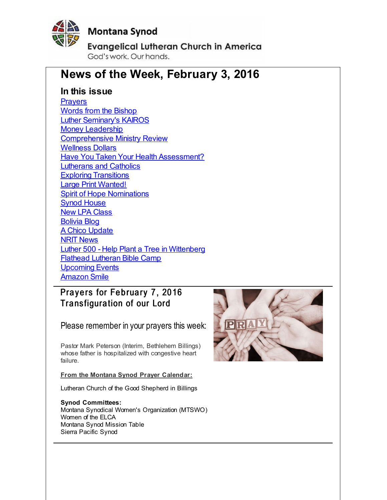<span id="page-0-0"></span>

# **Montana Synod**

**Evangelical Lutheran Church in America** 

God's work, Our hands,

# **News of the Week, February 3, 2016**

# **In this issue**

**[Prayers](#page-0-0)** Words from the [Bishop](#page-0-0) Luther [Seminary's](#page-0-0) KAIROS **Money [Leadership](#page-0-0)** [Comprehensive](#page-0-0) Ministry Review [Wellness](#page-0-0) Dollars Have You Taken Your Health [Assessment?](#page-0-0) [Lutherans](#page-0-0) and Catholics Exploring [Transitions](#page-0-0) Large Print [Wanted!](#page-0-0) Spirit of Hope [Nominations](#page-0-0) Synod [House](#page-0-0) New LPA [Class](#page-0-0) [Bolivia](#page-0-0) Blog A Chico [Update](#page-0-0) NRIT [News](#page-0-0) Luther 500 - Help Plant a Tree in [Wittenberg](#page-0-0) Flathead [Lutheran](#page-0-0) Bible Camp **[Upcoming](#page-0-0) Events** [Amazon](#page-0-0) Smile

Prayers for February 7, 2016 Transfiguration of our Lord

Please remember in your prayers this week:

Pastor Mark Peterson (Interim, Bethlehem Billings) whose father is hospitalized with congestive heart failure.

**From the Montana Synod Prayer Calendar:**

Lutheran Church of the Good Shepherd in Billings

**Synod Committees:** Montana Synodical Women's Organization (MTSWO) Women of the ELCA Montana Synod Mission Table Sierra Pacific Synod

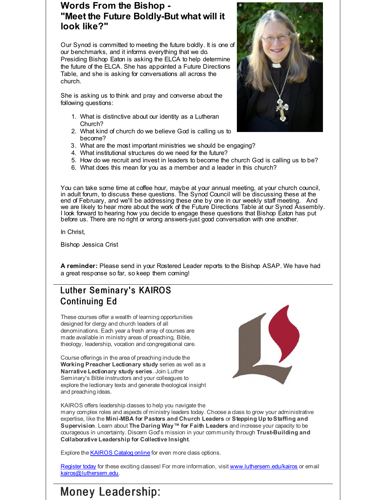# **Words From the Bishop - "Meet the Future Boldly-But what will it look like?"**

Our Synod is committed to meeting the future boldly. It is one of our benchmarks, and it informs everything that we do. Presiding Bishop Eaton is asking the ELCA to help determine the future of the ELCA. She has appointed a Future Directions Table, and she is asking for conversations all across the church.

She is asking us to think and pray and converse about the following questions:

- 1. What is distinctive about our identity as a Lutheran Church?
- 2. What kind of church do we believe God is calling us to become?
- 3. What are the most important ministries we should be engaging?
- 4. What institutional structures do we need for the future?
- 5. How do we recruit and invest in leaders to become the church God is calling us to be?
- 6. What does this mean for you as a member and a leader in this church?

You can take some time at coffee hour, maybe at your annual meeting, at your church council, in adult forum, to discuss these questions. The Synod Council will be discussing these at the end of February, and we'll be addressing these one by one in our weekly staff meeting. And we are likely to hear more about the work of the Future Directions Table at our Synod Assembly. I look forward to hearing how you decide to engage these questions that Bishop Eaton has put before us. There are no right or wrong answers-just good conversation with one another.

In Christ,

Bishop Jessica Crist

**A reminder:** Please send in your Rostered Leader reports to the Bishop ASAP. We have had a great response so far, so keep them coming!

# Luther Seminary's KAIROS Continuing Ed

These courses offer a wealth of learning opportunities designed for clergy and church leaders of all denominations. Each year a fresh array of courses are made available in ministry areas of preaching, Bible, theology, leadership, vocation and congregational care.

Course offerings in the area of preaching include the **Working Preacher Lectionary study** series as well as a **Narrative Lectionary study series**. Join Luther Seminary's Bible instructors and your colleagues to explore the lectionary texts and generate theological insight and preaching ideas.



KAIROS offers leadership dasses to help you navigate the

many complex roles and aspects of ministry leaders today. Choose a class to grow your administrative expertise, like the **Mini-MBA for Pastors and Church Leaders** or **Stepping Up toStaffing and Supervision**. Learn about **The Daring Way™ for Faith Leaders** and increase your capacity to be courageous in uncertainty. Discern God's mission in your community through **Trust-Building and Collaborative Leadership for Collective Insight**.

Explore the **[KAIROS](http://r20.rs6.net/tn.jsp?f=00170rkR5Km2oxLuX5mlBJuuJq8UY9-Wbvs0A6hErItsN_Wz1BvfgyQCDqxX0DDej59dFSkKCBPlQIQ-OEH_tCmjZ6HrsdocptkXsWbWoVrbkXHzKi5HkBWFhuAJRivXUcSVT02Ubz2UI4-f4mxtPrDoRoUbOMG0n9T7rUHru5TOsLKxkezDQi93Ev7qPHu_F47LCayqS02qqSDH_SUGJKbhVu4rfZdLKTTMUCdF8-9_xHLuDDuOr9tIN2BGqWy_UEUIproj3Q5n-5GfD6Wn144pWrs13ev6buTKEE5YUeTULi_ShQS7sRK84ymSpzfqWw5UQBNLAyb--Ybz3BoG2KAG0AzyZIFUu5HWfJnXWU7OZjctYP54dEKhI86Nvb46hZlSfv9AKSmjgs2CZa__iMaClodVQRgCQv7FE7H9eZlpqyZabQ5-rgTKHvRgiLW35ueesrmQwBzO3me47tpJ9Fpi15vVCOVIJNkRCNjyzDeYgSp5VVPqkJtOQWW04piU5NPt3iNZjL_ri8zrIqAeBnK4tgPP4Az-CUT7ibOtzAoyiNzYaq5bgejGvcd_nslmMyp-mqjg8bXXHb_HhHcFwi2kHAnpxL4eY84DFIb635jZUPwH1yenmMa4_07hYo1B9G4Oiie2o5Ingc=&c=&ch=) Catalog online** for even more class options.

[Register](http://r20.rs6.net/tn.jsp?f=00170rkR5Km2oxLuX5mlBJuuJq8UY9-Wbvs0A6hErItsN_Wz1BvfgyQCDqxX0DDej595fxyNwlz__4XohanHLjTPdkoXfDW-CCuUwHJHeFO0dCXvgboWbCk675FAQ29-stjosYamyKS-m_YBStEO7yKP0K8v1SCde-IRqY1UkO-nF-9upsRa6-svStKSjc9IQrri42wj4wF0hJMnoz9b48gjSXLBqMpXZlkoRdisex1FF40wjwGtP2DQrGZf-gAuseZviQINsThfUBzTbn_R2SSgQAzw7qoih9ren_pERKFdH8kZmngrAr6CRqF-J3Z3JaDdwP8_-iONzqFclNWPwB_rKc2FFhpKMY_T9gFEGRzJrhgnSmznET8gb2hpEYsH1THRLcraxlBQV9UY1LcbcDhKTQPprQSq9NGZTpl05dRMxJ_NCdLKq4ucuDZnTxlV6rARe1qi4He8C8MgJVn1tA58tHumty3DhmUu-KhDwxYuLdINSZN0gsfmq-LCHtv3InmmNxPlXA5_IDAAPuJXvhUquav8ADjQ03fZzDdTqegWh2K7VmWeHWH5TY6GI1BeJJAdfGLpwHEXd6XK0vtasXnkBkgsIVp9VTkgjRRjvtni8pj0eh-zQgaQFF2eVk4fzzSFgWkwtpjWpA=&c=&ch=) today for these exciting classes! For more information, visit [www.luthersem.edu/kairos](http://r20.rs6.net/tn.jsp?f=00170rkR5Km2oxLuX5mlBJuuJq8UY9-Wbvs0A6hErItsN_Wz1BvfgyQCDqxX0DDej59xV0TJR35H94ZtKeF6FvR5NhhJrCB1by-JYQ60X7Rc-SLKJBnaNXERidfJ3pPu1G-YPmlbrpWc48jXYLsQ1gdBWiFYqc4Xb21eitodP3w0wTqVHUxxcZISQlkYlSM03DBEIAZjT6yDPl9QUKhPy5yHHEZvFI7Zdq3AVCiB5xoyEVhopgXNbzhggE4gWs-gzkKpDoIi4Z3DmBdq3nyZircW5XyWRNygxzTCUnLQxhqcMHiq544P-2_7l-pEh2E2vBsFoR-FMBj0iugP9UGWgwt5rPxfw5MN4y3Nz2OQ5i2mHug18bZwPntDn09xKP5-NKyBLhId-bx-NxpxpVp6x-k-ZzyGOSF5nFrMp6Na9Yxb1u6zEANZbt1oNbwIF_sFmTWSAPeneJqYsPu5El6hZD1t4nnWXapq-CHztXyBiPYvKbBWeBOnKTg5Ct21t9DR1DO7wPnxzysLPGtqa3X_hWfHE0qlN4AsrJN3DEpPqN0NySN3z1EY2anJ8dvqHYHpV-Q4CGJ15jOyaPpCyZ3ETkY5QF8T8QKGhDfx_tq9GHGP1fE9sS47VqgIqERJk437mQVRVBAXhLqysBL7AkFGom8p0NH1H0BcRgQ&c=&ch=) or email [kairos@luthersem.edu](mailto:kairos@luthersem.edu).



# Money Leadership: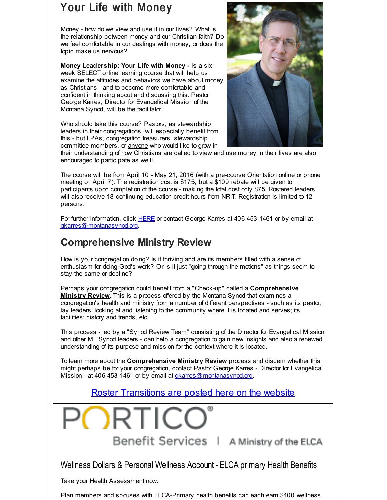# Your Life with Money

Money - how do we view and use it in our lives? What is the relationship between money and our Christian faith? Do we feel comfortable in our dealings with money, or does the topic make us nervous?

**Money Leadership: Your Life with Money -** is a sixweek SELECT online learning course that will help us examine the attitudes and behaviors we have about money as Christians - and to become more comfortable and confident in thinking about and discussing this. Pastor George Karres, Director for Evangelical Mission of the Montana Synod, will be the facilitator.

Who should take this course? Pastors, as stewardship leaders in their congregations, will especially benefit from this - but LPAs, congregation treasurers, stewardship committee members, or anyone who would like to grow in



their understanding of how Christians are called to view and use money in their lives are also encouraged to participate as well!

The course will be from April 10 - May 21, 2016 (with a pre-course Orientation online or phone meeting on April 7). The registration cost is \$175, but a \$100 rebate will be given to participants upon completion of the course - making the total cost only \$75. Rostered leaders will also receive 18 continuing education credit hours from NRIT. Registration is limited to 12 persons.

For further information, click [HERE](http://r20.rs6.net/tn.jsp?f=00170rkR5Km2oxLuX5mlBJuuJq8UY9-Wbvs0A6hErItsN_Wz1BvfgyQCDqxX0DDej598EdRxtFJjhzbYIER8Cxdr_bSNr5lRcUsiLJjPYkXgIlSpvgQu_Fk-1NHl3jrIcBpW2Ug3YXGDSs-xT8RS_7N5oC-1UMOOPrMZbl59n3eUZn_7qdgwqrfSQUsVc1wf9yhmeO6y8JDWpqL7uZ_NbTNmRfHNDoYp-BYRAY8o-VC73eYzGO7zqc-m-T66cQiQa_oA97YDD5YwDA=&c=&ch=) or contact George Karres at 406-453-1461 or by email at [gkarres@montanasynod.org](mailto:gkarres@montanasynod.org).

# **Comprehensive Ministry Review**

How is your congregation doing? Is it thriving and are its members filled with a sense of enthusiasm for doing God's work? Or is it just "going through the motions" as things seem to stay the same or decline?

Perhaps your congregation could benefit from a "Check-up" called a **Comprehensive Ministry Review**. This is a process offered by the Montana Synod that examines a congregation's health and ministry from a number of different perspectives - such as its pastor; lay leaders; looking at and listening to the community where it is located and serves; its facilities; history and trends, etc.

This process - led by a "Synod Review Team" consisting of the Director for Evangelical Mission and other MT Synod leaders - can help a congregation to gain new insights and also a renewed understanding of its purpose and mission for the context where it is located.

To learn more about the **Comprehensive Ministry Review** process and discern whether this might perhaps be for your congregation, contact Pastor George Karres - Director for Evangelical Mission - at 406-453-1461 or by email at [gkarres@montanasynod.org](mailto:gkarres@montanasynod.org).

Roster [Transitions](http://r20.rs6.net/tn.jsp?f=00170rkR5Km2oxLuX5mlBJuuJq8UY9-Wbvs0A6hErItsN_Wz1BvfgyQCDqxX0DDej59_HyssTaA0mP21xw-X8Xd6JIaPbeiunLlJhZ1WBSs4wgSd_t5bVEQr4zalihvWWYan9C-K0e0fi_lePjcFT9J7A142VC64ll_wMVigPPpFSeVjceo4PPibFxI260Q3F1KDjgIXad1uMw=&c=&ch=) are posted here on the website

ORTIC Benefit Services | A Ministry of the ELCA

Wellness Dollars & Personal Wellness Account - ELCA primary Health Benefits

Take your Health Assessment now.

Plan members and spouses with ELCA-Primary health benefits can each earn \$400 wellness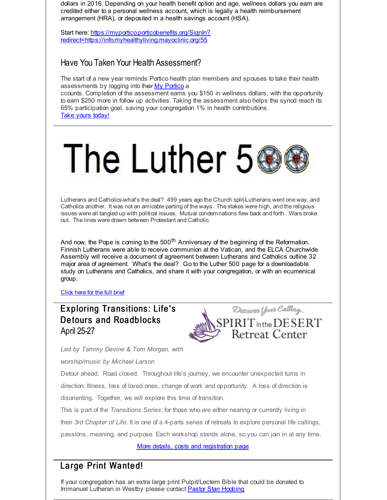dollars in 2016. Depending on your health benefit option and age, wellness dollars you earn are credited either to a personal wellness account, which is legally a health reimbursement arrangement (HRA), or deposited in a health savings account (HSA).

Start here: https://myportico.porticobenefits.org/SignIn? [redirect=https://info.myhealthyliving.mayoclinic.org/55](http://r20.rs6.net/tn.jsp?f=00170rkR5Km2oxLuX5mlBJuuJq8UY9-Wbvs0A6hErItsN_Wz1BvfgyQCDqxX0DDej59Z9PEMX_c4yyNf5LfY1nq83BG2eUXz_yC9cIIZHRhojs4EC3-b68iAUoeBAXI7lFjMEHcUpm4OMn2m2lReNE5WQcys7uh36yGJ0M5LxlUZVfkTzYaYxSzVJC04nmu44tJFd9rZYvmU0S6RwYfdkg9B9VzV_THOVS6PC9u6iAseuaXosMLt764xg5Xga1IP_nw1_9YWPJp-X1X2bdiFoXsg5hrGlZHID-c&c=&ch=)

### Have You Taken Your Health Assessment?

The start of a new year reminds Portico health plan members and spouses to take their health assessments by logging into their My [Portico](http://r20.rs6.net/tn.jsp?f=00170rkR5Km2oxLuX5mlBJuuJq8UY9-Wbvs0A6hErItsN_Wz1BvfgyQCDqxX0DDej59u6Z3m0I9UDKNnNpOP-Ow4D7w8gPGnCfHIPjG7iZ1vbzkLFMruie4Mrme0c9VVH--oKm-gUJV3OwUU8E2P6Z5MZWr2HkYS6iMcuYv3xGJ_9U-Fc8xCMWltd8if10Y2RL057U1yjgPgfi68zmyUOUAtGsCmL_NG4hd&c=&ch=) a

ccounts. Completion of the assessment earns you \$150 in wellness dollars, with the opportunity to earn \$250 more in follow up activities. Taking the assessment also helps the synod reach its 65% participation goal, saving your congregation 1% in health contributions. Take yours [today!](http://r20.rs6.net/tn.jsp?f=00170rkR5Km2oxLuX5mlBJuuJq8UY9-Wbvs0A6hErItsN_Wz1BvfgyQCDqxX0DDej59u6Z3m0I9UDKNnNpOP-Ow4D7w8gPGnCfHIPjG7iZ1vbzkLFMruie4Mrme0c9VVH--oKm-gUJV3OwUU8E2P6Z5MZWr2HkYS6iMcuYv3xGJ_9U-Fc8xCMWltd8if10Y2RL057U1yjgPgfi68zmyUOUAtGsCmL_NG4hd&c=&ch=)

# The Luther 5

Lutherans and Catholics-what's the deal? 499 years ago the Church split-Lutherans went one way, and Catholics another. It was not an amicable parting of the ways. The stakes were high, and the religious issues were all tangled up with political issues. Mutual condemnations flew back and forth. Wars broke out. The lines were drawn between Protestant and Catholic.

And now, the Pope is coming to the 500<sup>th</sup> Anniversary of the beginning of the Reformation. Finnish Lutherans were able to receive communion at the Vatican, and the ELCA Churchwide Assembly will receive a document of agreement between Lutherans and Catholics outline 32 major area of agreement. What's the deal? Go to the Luther 500 page for a downloadable study on Lutherans and Catholics, and share it with your congregation, or with an ecumenical group.

[Click](http://r20.rs6.net/tn.jsp?f=00170rkR5Km2oxLuX5mlBJuuJq8UY9-Wbvs0A6hErItsN_Wz1BvfgyQCDqxX0DDej59NqKghnxg8O6ydX6IMHubBg5Ze1MvroEGzD9O--JfZ1AO4n5WZdBiWNlQQNGAdXF0HNEdLa2lPZw6kSdgECslX4HSwxcewhNo_f9SNwCtwu6PS2-APpN2Nmap-wHOlzOQ3kLFtJTvdXfbNSGX8LBTEWBGxd8Gn1aZ1k3Q_cAqJb3glwowXilFwK7dMTw-tYtIvmpTA4BzE49skCXmHh1Buw==&c=&ch=) here for the full brief

# Exploring Transitions: Life's De tours and Roadblocks April 25-27

Discover Your Calling.  $SPIRIT$  in the  $DESERT$ **Retreat Center** 

*Led by Tammy Devine & Tom Morgan, with*

*worship/music by Michael Larson*

Detour ahead. Road closed. Throughout life's journey, we encounter unexpected turns in direction: Illness, loss of loved ones, change of work and opportunity. A loss of direction is disorienting. Together, we will explore this time of transition.

This is part of the *Transitions Series*: for those who are either nearing or currently living in their *3rd Chapter of Life*. It is one of a 4-parts series of retreats to explore personal life callings, passions, meaning, and purpose. Each workshop stands alone, so you can join in at any time.

More details, costs and [registration](http://r20.rs6.net/tn.jsp?f=00170rkR5Km2oxLuX5mlBJuuJq8UY9-Wbvs0A6hErItsN_Wz1BvfgyQCDqxX0DDej59rG_cf53duPUiFN7XyoS6Ggo0iJEaHZtDICCO9Ss_eaKJTbu2Z43ap2vwq2FWcboyY2sJU_NEvV_ahDzgH-tcQyCGqPPwtF3aCkSZInDugtHglLU2Up1mkcfquvC6o9bGKXs7NMP1TbClrE8zia39SKKnYlHTTfjXrYAgX4xSiCSuYouFFR55R7rjaiI0ffiH&c=&ch=) page

# Large Print Wanted!

If your congregation has an extra large print Pulpit/Lectern Bible that could be donated to Immanuel Lutheran in Westby please contact Pastor Stan [Hoobing](mailto:stanhoobing@hotmail.com)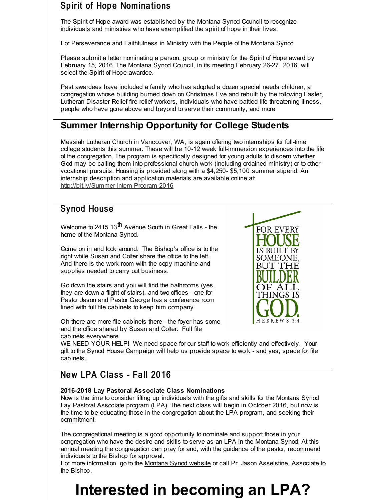# Spirit of Hope Nominations

The Spirit of Hope award was established by the Montana Synod Council to recognize individuals and ministries who have exemplified the spirit of hope in their lives.

For Perseverance and Faithfulness in Ministry with the People of the Montana Synod

Please submit a letter nominating a person, group or ministry for the Spirit of Hope award by February 15, 2016. The Montana Synod Council, in its meeting February 26-27, 2016, will select the Spirit of Hope awardee.

Past awardees have included a family who has adopted a dozen special needs children, a congregation whose building burned down on Christmas Eve and rebuilt by the following Easter, Lutheran Disaster Relief fire relief workers, individuals who have battled life-threatening illness, people who have gone above and beyond to serve their community, and more

# **Summer Internship Opportunity for College Students**

Messiah Lutheran Church in Vancouver, WA, is again offering two internships for full-time college students this summer. These will be 10-12 week full-immersion experiences into the life of the congregation. The program is specifically designed for young adults to discern whether God may be calling them into professional church work (including ordained ministry) or to other vocational pursuits. Housing is provided along with a \$4,250- \$5,100 summer stipend. An internship description and application materials are available online at: [http://bit.ly/Summer-Intern-Program-2016](http://r20.rs6.net/tn.jsp?f=00170rkR5Km2oxLuX5mlBJuuJq8UY9-Wbvs0A6hErItsN_Wz1BvfgyQCInhJvy5neLnMzDi5dql30jxGAhfi4c0XzQIUl0idbPch4kP8GCkNRp7P8Q9apFsgmMEJSQlBIkGynjXyKC5ZAbiqFCUf-PkTRnEhVHZE-UVmsaBPBQQtG8zEnYxQtnRN3lhg9fTPVQZ&c=&ch=)

# Synod House

Welcome to 2415 13<sup>th</sup> Avenue South in Great Falls - the home of the Montana Synod.

Come on in and look around. The Bishop's office is to the right while Susan and Colter share the office to the left. And there is the work room with the copy machine and supplies needed to carry out business.

Go down the stairs and you will find the bathrooms (yes, they are down a flight of stairs), and two offices - one for Pastor Jason and Pastor George has a conference room lined with full file cabinets to keep him company.

Oh there are more file cabinets there - the foyer has some and the office shared by Susan and Colter. Full file cabinets everywhere.



WE NEED YOUR HELP! We need space for our staff to work efficiently and effectively. Your gift to the Synod House Campaign will help us provide space to work - and yes, space for file cabinets.

# New LPA Class - Fall 2016

#### **2016-2018 Lay Pastoral Associate Class Nominations**

Now is the time to consider lifting up individuals with the gifts and skills for the Montana Synod Lay Pastoral Associate program (LPA). The next class will begin in October 2016, but now is the time to be educating those in the congregation about the LPA program, and seeking their commitment.

The congregational meeting is a good opportunity to nominate and support those in your congregation who have the desire and skills to serve as an LPA in the Montana Synod. At this annual meeting the congregation can pray for and, with the guidance of the pastor, recommend individuals to the Bishop for approval.

For more information, go to the [Montana](http://r20.rs6.net/tn.jsp?f=00170rkR5Km2oxLuX5mlBJuuJq8UY9-Wbvs0A6hErItsN_Wz1BvfgyQCB8-R1e_S5_ox6qksDizXAO9YIzzwN53zYRgqoCL76neaHqYX5nVaLzcEzv3TKRsDB_ccKNnBvTspz6Ork3yb05C3tLiSHm2FegbUYLOi9sSN_Q-5H3c4X1HJ-wZ13t8Bw==&c=&ch=) Synod website or call Pr. Jason Asselstine, Associate to the Bishop.

# **Interested in becoming an LPA?**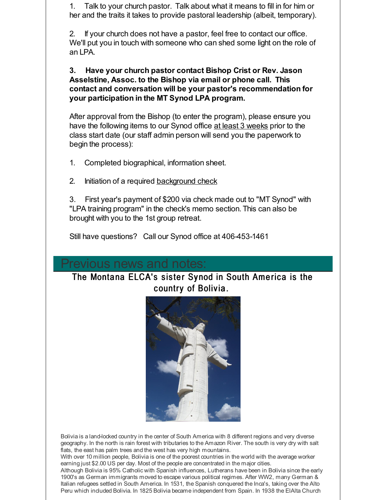1. Talk to your church pastor. Talk about what it means to fill in for him or her and the traits it takes to provide pastoral leadership (albeit, temporary).

2. If your church does not have a pastor, feel free to contact our office. We'll put you in touch with someone who can shed some light on the role of an LPA.

**3. Have your church pastor contact Bishop Crist or Rev. Jason Asselstine, Assoc. to the Bishop via email or phone call. This contact and conversation will be your pastor's recommendation for your participation in the MT Synod LPA program.**

After approval from the Bishop (to enter the program), please ensure you have the following items to our Synod office at least 3 weeks prior to the class start date (our staff admin person will send you the paperwork to begin the process):

1. Completed biographical, information sheet.

2. Initiation of a required [background](http://r20.rs6.net/tn.jsp?f=00170rkR5Km2oxLuX5mlBJuuJq8UY9-Wbvs0A6hErItsN_Wz1BvfgyQCInhJvy5neLnP5a4WSr3XC_lmN47J0ZrAkuVQb_4wHVJb33mxqGAh5_dl5uJuxdl-8Tg3KKcFsngWw0IR5Wa0cdr9ShFfRs8FFlSIbcU68F1x_QkKY0achfVn-Oq_S9SzMSAkqfEwtn1j38GDN2bkwPrdTF_IjMhrQ==&c=&ch=) check

3. First year's payment of \$200 via check made out to "MT Synod" with "LPA training program" in the check's memo section. This can also be brought with you to the 1st group retreat.

Still have questions? Call our Synod office at 406-453-1461

# revious news and notes:

The Montana ELCA's sister Synod in South America is the country of Bolivia.



Bolivia is a land-locked country in the center of South America with 8 different regions and very diverse geography. In the north is rain forest with tributaries to the Amazon River. The south is very dry with salt flats, the east has palm trees and the west has very high mountains.

With over 10 million people, Bolivia is one of the poorest countries in the world with the average worker earning just \$2.00 US per day. Most of the people are concentrated in the major cities.

Although Bolivia is 95% Catholic with Spanish influences, Lutherans have been in Bolivia since the early 1900's as German immigrants moved to escape various political regimes. After WW2, many German & Italian refugees settled in South America. In 1531, the Spanish conquered the Inca's, taking over the Alto Peru which included Bolivia. In 1825 Bolivia became independent from Spain. In 1938 the ElAlta Church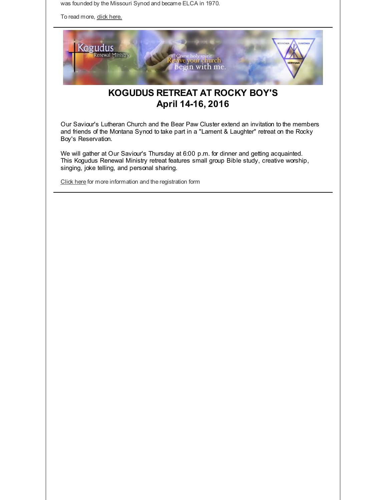was founded by the Missouri Synod and became ELCA in 1970.

To read more, dick [here.](http://r20.rs6.net/tn.jsp?f=00170rkR5Km2oxLuX5mlBJuuJq8UY9-Wbvs0A6hErItsN_Wz1BvfgyQCMIn8NLM_FMyb5otrWpZj4TgINrDXfKHi-DUh67qkSoDSBkYxvai-WKZ8YTJFUONimQMEMIKkyyYd5oEtz72S1Wl-2aZdAcY9YM1xLUfpcsai20D80alLqtGEx7cCKjEMCS1rhRJHmxLLMwxkOnHDWQ=&c=&ch=)



# **KOGUDUS RETREAT AT ROCKY BOY'S April 14-16, 2016**

Our Saviour's Lutheran Church and the Bear Paw Cluster extend an invitation to the members and friends of the Montana Synod to take part in a "Lament & Laughter" retreat on the Rocky Boy's Reservation.

We will gather at Our Saviour's Thursday at 6:00 p.m. for dinner and getting acquainted. This Kogudus Renewal Ministry retreat features small group Bible study, creative worship, singing, joke telling, and personal sharing.

[Click](http://r20.rs6.net/tn.jsp?f=00170rkR5Km2oxLuX5mlBJuuJq8UY9-Wbvs0A6hErItsN_Wz1BvfgyQCHNsekS_yjr7IGRLjdtSc5tXqrYMWocBtZ-s0X6jhG5GtJ3aVy9qz3T9tQOse85AHz6uD1tqCg5xOm_jXW4OXitet5nWFrYzXGXM43VBLeAtEQFtY3vQnr_KdbsIi4v4GsUBiy57aiydVelqVbdCJ1T5Zha0JSg5kvCtP_uIPYDRY-KKQuEs3E24jABJsuCsEQ_xFB4X3Qv9i3dPzNFBFqYk6hKrKKD_HmBCGBaBxRrg&c=&ch=) here for more information and the registration form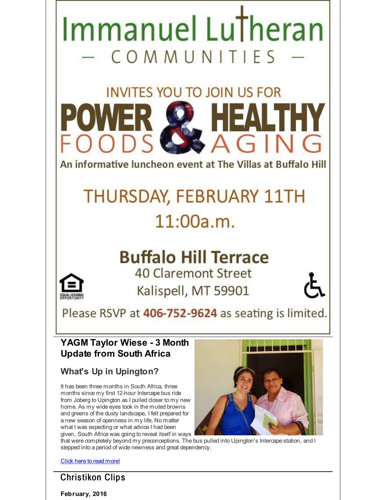

that were completely beyond my preconceptions. The bus pulled into Upington's Intercape station, and I stepped into a period of wide newness and great dependency.

Click here to read [more!](http://r20.rs6.net/tn.jsp?f=00170rkR5Km2oxLuX5mlBJuuJq8UY9-Wbvs0A6hErItsN_Wz1BvfgyQCInhJvy5neLnTr3_UgN1ok9EwMs_lY-mepYH-OHqa7yi7wBH7uVAxhd5ShjTzhmhk4nxQ15HLp7NqfQhun6HqJVPqZFG_H7syzlImlnieCgi6MqQ6J9eH_j4hevZR8I6c7aro6LasQr_MJrjR5SDKcVhsrkYskQ_Cp25FU4g-16lpR5vAXPARdZspDXkWEE0z7RSbRF6uOFV&c=&ch=)

# **Christikon Clips**

**February, 2016**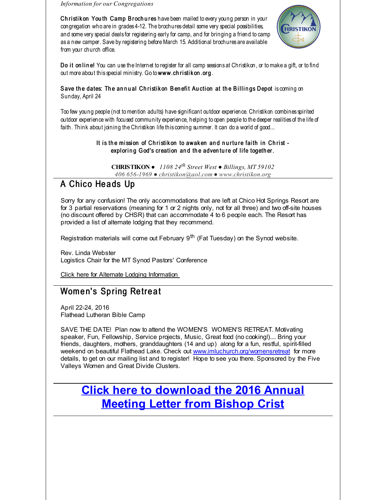*Information for our Congregations*

Christik on You th Camp Brochures have been mailed to every young person in your congregation who are in grades 4-12. The brochures detail some very special possibilities, and some very special deals for registering early for camp, and for bringing a friend to camp as a new camper. Save by registering before March 15. Additional brochures are available from your church office.



Do it on line! You can use the Internet to register for all camp sessions at Christikon, or to make a gift, or to find out more about this special ministry. Go to www.ch ristik on.org.

#### Save the dates: The annual Christikon Benefit Auction at the Billings Depot is coming on Sunday, April 24

Too few young people (not tomention adults) have significant outdoor experience. Christikon combines spirited outdoor experience with focused community experience, helping to open people to the deeper realities of the life of faith. Think about joining the Christikon life this coming summer. It can do a world of good...

#### It is the mission of Christikon to awaken and nurture faith in Christ exploring God's creation and the adventure of life together.

**CHRISTIKON** ● *1108 24 th Street West ● Billings, MT 59102*

#### *406 656-1969 ● christikon@aol.com ● www.christikon.org*

# A Chico Heads Up

Sorry for any confusion! The only accommodations that are left at Chico Hot Springs Resort are for 3 partial reservations (meaning for 1 or 2 nights only, not for all three) and two off-site houses (no discount offered by CHSR) that can accommodate 4 to 6 people each. The Resort has provided a list of alternate lodging that they recommend.

Registration materials will come out February 9<sup>th</sup> (Fat Tuesday) on the Synod website.

Rev. Linda Webster Logistics Chair for the MT Synod Pastors' Conference

Click here for Alternate Lodging [Information](http://r20.rs6.net/tn.jsp?f=00170rkR5Km2oxLuX5mlBJuuJq8UY9-Wbvs0A6hErItsN_Wz1BvfgyQCHNsekS_yjr7imQ5dtCUWqGLrzHbyaes3dIZKZa5cj_eLcwjz3zadRlNkAq44UcggX9xjNhG61nmXNSDf_ST5OnQZOf6ADjkxH3K48E2_I-_3YHfyMqhkbTlk_m2an5jSQYo4oqmZCQ-sEVlnxMXrupodpOWb-tnAQ8536qmGNVCjA12h5UkiqkMiMylKB-8S1lqEier__tXjvqTLtBrDdg=&c=&ch=)

# Women's Spring Retreat

April 22-24, 2016 Flathead Lutheran Bible Camp

SAVE THE DATE! Plan now to attend the WOMEN'S WOMEN'S RETREAT. Motivating speaker, Fun, Fellowship, Service projects, Music, Great food (no cooking!).... Bring your friends, daughters, mothers, granddaughters (14 and up) along for a fun, restful, spirit-filled weekend on beautiful Flathead Lake. Check out [www.imluchurch.org/womensretreat](http://r20.rs6.net/tn.jsp?f=00170rkR5Km2oxLuX5mlBJuuJq8UY9-Wbvs0A6hErItsN_Wz1BvfgyQCLq-0xQVj0nku702wTV-ZughicdH7F-0oTPfhXQ1zQkZsttfoOcommnU1Qmql9BOyfvD-5aJsJTiEDOL9adehZF8RVAOA7KolJeVMkcPaMb-qA8m1RaU02nr-B4Vh7YIkSKkPLGTwEuk&c=&ch=) for more details, to get on our mailing list and to register! Hope to see you there. Sponsored by the Five Valleys Women and Great Divide Clusters.

# **Click here to [download](http://r20.rs6.net/tn.jsp?f=00170rkR5Km2oxLuX5mlBJuuJq8UY9-Wbvs0A6hErItsN_Wz1BvfgyQCNZGpMyLXp1HpgCp2VVtCyRxEZqUtFsGAFEWfpOv-M1XHrRaNtAJHNr0rmJqQJLAR7I_Xwdmkq84fOWBbX3jX7R7jsZ7yVV_HrRBlGoTsGQRCKPIzcJAOpMh2B3p2NpVejn6epBLuN2Mm68jhtYkXm1o0ZML5uiThbwbyvykyV24MMbpF67anxJP-h4uCHqJv3_69WJVtFXu7QK1i33t4Vo=&c=&ch=) the 2016 Annual Meeting Letter from Bishop Crist**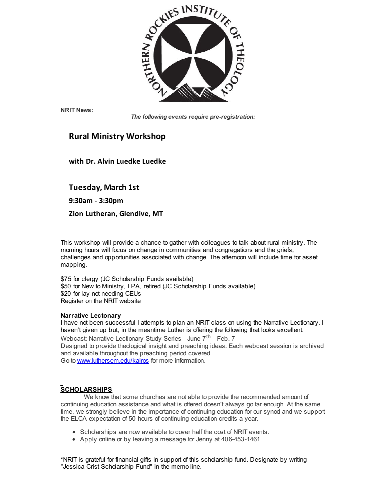

**NRIT News:**

*The following events require pre-registration:*

# **Rural Ministry Workshop**

**with Dr. Alvin Luedke Luedke**

#### **Tuesday, March 1st**

**9:30am - 3:30pm**

**Zion Lutheran, Glendive, MT**

This workshop will provide a chance to gather with colleagues to talk about rural ministry. The morning hours will focus on change in communities and congregations and the griefs, challenges and opportunities associated with change. The afternoon will include time for asset mapping.

\$75 for clergy (JC Scholarship Funds available) \$50 for New to Ministry, LPA, retired (JC Scholarship Funds available) \$20 for lay not needing CEUs Register on the NRIT website

#### **Narrative Lectonary**

I have not been successful I attempts to plan an NRIT class on using the Narrative Lectionary. I haven't given up but, in the meantime Luther is offering the following that looks excellent. Webcast: Narrative Lectionary Study Series - June 7<sup>th</sup> - Feb. 7 Designed to provide theological insight and preaching ideas. Each webcast session is archived and available throughout the preaching period covered. Go to [www.luthersem.edu/kairos](http://r20.rs6.net/tn.jsp?f=00170rkR5Km2oxLuX5mlBJuuJq8UY9-Wbvs0A6hErItsN_Wz1BvfgyQCInhJvy5neLnwwk0KKZOGf75wcMfasDP5DyHXGWOmqyQXEFf-oxRC43gPtqm8nRDnUnzbWDzih6DKBt_37X_X_kAnpKTtUvUkGG4JR5UbJy-SMW_l7zdNYj_N9xMZLYeYQ==&c=&ch=) for more information.

#### **SCHOLARSHIPS**

We know that some churches are not able to provide the recommended amount of continuing education assistance and what is offered doesn't always go far enough. At the same time, we strongly believe in the importance of continuing education for our synod and we support the ELCA expectation of 50 hours of continuing education credits a year.

- Scholarships are now available to cover half the cost of NRIT events.
- Apply online or by leaving a message for Jenny at 406-453-1461.

\*NRIT is grateful for financial gifts in support of this scholarship fund. Designate by writing "Jessica Crist Scholarship Fund" in the memo line.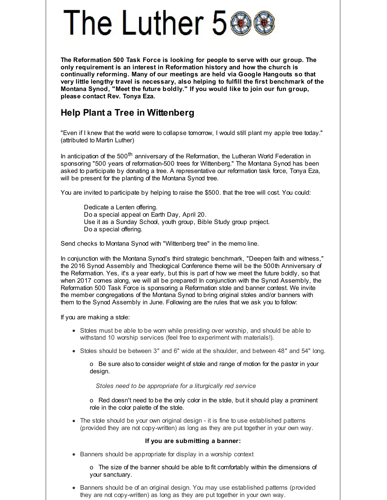# The Luther 5

**The Reformation 500 Task Force is looking for people to serve with our group. The only requirement is an interest in Reformation history and how the church is continually reforming. Many of our meetings are held via Google Hangouts so that very little lengthy travel is necessary, also helping to fulfill the first benchmark of the Montana Synod, "Meet the future boldly." If you would like to join our fun group, please contact Rev. Tonya Eza.**

# **Help Plant a Tree in Wittenberg**

"Even if I knew that the world were to collapse tomorrow, I would still plant my apple tree today." (attributed to Martin Luther)

In anticipation of the 500<sup>th</sup> anniversary of the Reformation, the Lutheran World Federation in sponsoring "500 years of reformation-500 trees for Wittenberg." The Montana Synod has been asked to participate by donating a tree. A representative our reformation task force, Tonya Eza, will be present for the planting of the Montana Synod tree.

You are invited to participate by helping to raise the \$500. that the tree will cost. You could:

Dedicate a Lenten offering. Do a special appeal on Earth Day, April 20. Use it as a Sunday School, youth group, Bible Study group project. Do a special offering.

Send checks to Montana Synod with "Wittenberg tree" in the memo line.

In conjunction with the Montana Synod's third strategic benchmark, "Deepen faith and witness," the 2016 Synod Assembly and Theological Conference theme will be the 500th Anniversary of the Reformation. Yes, it's a year early, but this is part of how we meet the future boldly, so that when 2017 comes along, we will all be prepared! In conjunction with the Synod Assembly, the Reformation 500 Task Force is sponsoring a Reformation stole and banner contest. We invite the member congregations of the Montana Synod to bring original stoles and/or banners with them to the Synod Assembly in June. Following are the rules that we ask you to follow:

If you are making a stole:

- Stoles must be able to be worn while presiding over worship, and should be able to withstand 10 worship services (feel free to experiment with materials!).
- Stoles should be between 3" and 6" wide at the shoulder, and between 48" and 54" long.

o Be sure also to consider weight of stole and range of motion for the pastor in your design.

*Stoles need to be appropriate for a liturgically red service*

o Red doesn't need to be the only color in the stole, but it should play a prominent role in the color palette of the stole.

• The stole should be your own original design - it is fine to use established patterns (provided they are not copy-written) as long as they are put together in your own way.

#### **If you are submitting a banner:**

Banners should be appropriate for display in a worship context

o The size of the banner should be able to fit comfortably within the dimensions of your sanctuary.

Banners should be of an original design. You may use established patterns (provided they are not copy-written) as long as they are put together in your own way.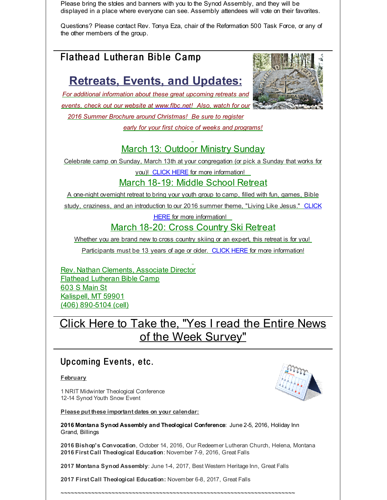Please bring the stoles and banners with you to the Synod Assembly, and they will be displayed in a place where everyone can see. Assembly attendees will vote on their favorites.

Questions? Please contact Rev. Tonya Eza, chair of the Reformation 500 Task Force, or any of the other members of the group.

# Flathead Lutheran Bible Camp

# **Retreats, Events, and Updates:**

*For additional information about these great upcoming retreats and events, check out our website at [www.flbc.net](http://r20.rs6.net/tn.jsp?f=00170rkR5Km2oxLuX5mlBJuuJq8UY9-Wbvs0A6hErItsN_Wz1BvfgyQCBsx9qNKkcSwGNymy8-B0GqRt-qQEs6fbQaDPLD0THVnDKhkJAzAhRMIhn0KEECIZqghCS2Yhq58HCxTiaCAbM5MSrRBJs7aG1hVFNeBluzl-bxm4BsnzWv1IwzlNW32zttMMJIrmg4r0o8TGlYDcGHnBuREOV--h1Sj2Uzwbzo90q5N1z97dWGQPwKtN4TNhKcNEdqzPPIQ&c=&ch=)! Also, watch for our*

*2016 Summer Brochure around Christmas! Be sure to register*

*early for your first choice of weeks and programs!*



# **March 13: Outdoor Ministry Sunday**

Celebrate camp on Sunday, March 13th at your congregation (or pick a Sunday that works for

you)! [CLICK](http://r20.rs6.net/tn.jsp?f=00170rkR5Km2oxLuX5mlBJuuJq8UY9-Wbvs0A6hErItsN_Wz1BvfgyQCBsx9qNKkcSwAMD62IqpPHa_sgj9ge6KKynD8G5YpDc1WT-LuJAF01XYFpn4_290uRwTMrzlo-PgVPEvQVKkxkjPgqbLjVj1h25CTfOIZ9q91_hbGcYN4YnktMdOvJ7dsBcf9qzpPVtRQRq76woF4ebYy7ajWxmoR8HISU7aDvhuVXYIihWXWGCcxJIRRTeGzl_ewVdGr0KF&c=&ch=) HERE for more information!

March 18-19: Middle School Retreat

A one-night overnight retreat to bring your youth group to camp, filled with fun, games, Bible study, craziness, and an introduction to our 2016 summer theme, "Living Like Jesus." CLICK

HERE for more [information!](http://r20.rs6.net/tn.jsp?f=00170rkR5Km2oxLuX5mlBJuuJq8UY9-Wbvs0A6hErItsN_Wz1BvfgyQCBsx9qNKkcSwaELPD4hf9PWBWL2bYSc9QZ63oGcoyJpKwwE7HRqpMTiRUi8GVj0CAkRmWQxhckeFUDLOyKAN4TUvFYqSi1KE9y2zTK9_kEKDb_ItrL1dhhGZbFDIJYtssFD70GqIfdCOaMkHmUmkMj6zs9BDvjbg0iUrLtuV-En4zTHZAiotrLEoCbWcaybIffnc4dYfrMtf&c=&ch=)

# March 18-20: Cross Country Ski Retreat

Whether you are brand new to cross country skiing or an expert, this retreat is for you!

Participants must be 13 years of age or older. [CLICK](http://r20.rs6.net/tn.jsp?f=00170rkR5Km2oxLuX5mlBJuuJq8UY9-Wbvs0A6hErItsN_Wz1BvfgyQCBsx9qNKkcSw7-8aqJgL-qLlKVOyUvhx5-YOmHVxrTU9Tjr-bfDr4sGwTW3IyoGIZCqYXPoH10BwCwXIDenw4B9wBQI0RZzQ-qcwSRiVigfAySESjieGL6_nv-STkCrhtn9s2BXnWdZlGa3mrzpk1hqW7KhSXTmBpkF0u9HRcMSI3ufv85z7o6B-7rCtXG0rjTn7IysIbguk&c=&ch=) HERE for more information!

Rev. Nathan Clements, Associate Director Flathead Lutheran Bible Camp 603 S Main St Kalispell, MT 59901 (406) 890-5104 (cell)

Click Here to Take the, "Yes I read the Entire News of the Week [Survey"](http://r20.rs6.net/tn.jsp?f=00170rkR5Km2oxLuX5mlBJuuJq8UY9-Wbvs0A6hErItsN_Wz1BvfgyQCHNsekS_yjr7G7478VlPPvvt80Jk_H74EtmNUESBt-QrxKZQsdJY-HlQ35lBoxcZoIOz0GdT5j-RNg65JS-FWDG6SFWzXjFUHdB34K0tuzWWoAnxmmQDut1JYa3jsvn23girBlm16bYVBGud9GOtQyw=&c=&ch=)

# Upcoming Events, etc.

**February**

1 NRIT Midwinter Theological Conference 12-14 Synod Youth Snow Event

**Please put these important dates on your calendar:**

**2016 Montana Synod Assembly and Theological Conference**: June 2-5, 2016, Holiday Inn Grand, Billings

**2016 Bishop's Convocation**, October 14, 2016, Our Redeemer Lutheran Church, Helena, Montana **2016 First Call Theological Education**: November 7-9, 2016, Great Falls

**2017 Montana Synod Assembly**: June 1-4, 2017, Best Western Heritage Inn, Great Falls

~~~~~~~~~~~~~~~~~~~~~~~~~~~~~~~~~~~~~~~~~~~~~~~~~~~~~~~~~~~~~~~~~~~~~

**2017 First Call Theological Education:** November 6-8, 2017, Great Falls